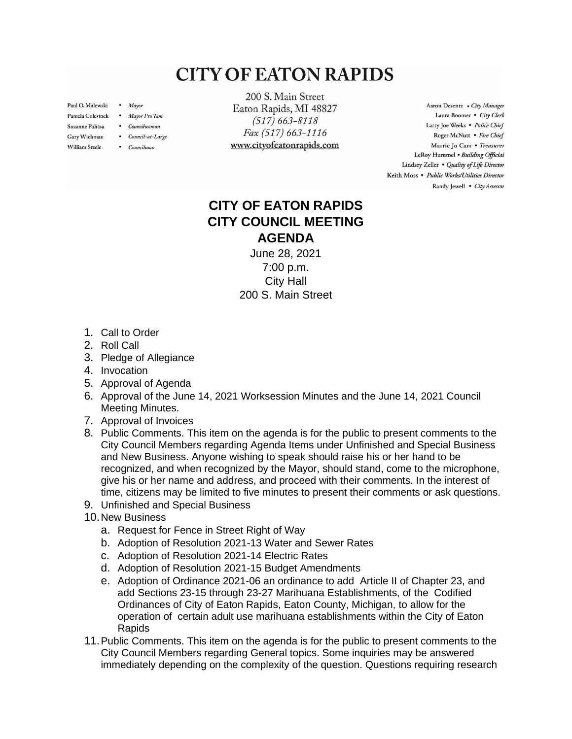## **CITY OF EATON RAPIDS**

Paul O. Malewski . Mayor

William Steele

- Pamela Colestock . Mayor Pro Tem
- Suzanne Politza . Councilwoman
- Gary Wichman . Council-at-Large
	- Councilman

200 S. Main Street Eaton Rapids, MI 48827  $(517) 663 - 8118$ Fax (517) 663-1116 www.cityofeatonrapids.com

Aaron Desentz . City Manager Laura Boomer . City Clerk Larry Joe Weeks . Police Chief Roger McNutt · Fire Chief Marrie Jo Carr . Treasurer LeRoy Hummel . Building Official Lindsey Zeller . Quality of Life Director Keith Moss · Public Works/Utilities Director Randy Jewell . City Assessor

## **CITY OF EATON RAPIDS CITY COUNCIL MEETING AGENDA**

June 28, 2021 7:00 p.m. City Hall 200 S. Main Street

- 1. Call to Order
- 2. Roll Call
- 3. Pledge of Allegiance
- 4. Invocation
- 5. Approval of Agenda
- 6. Approval of the June 14, 2021 Worksession Minutes and the June 14, 2021 Council Meeting Minutes.
- 7. Approval of Invoices
- 8. Public Comments. This item on the agenda is for the public to present comments to the City Council Members regarding Agenda Items under Unfinished and Special Business and New Business. Anyone wishing to speak should raise his or her hand to be recognized, and when recognized by the Mayor, should stand, come to the microphone, give his or her name and address, and proceed with their comments. In the interest of time, citizens may be limited to five minutes to present their comments or ask questions.
- 9. Unfinished and Special Business
- 10.New Business
	- a. Request for Fence in Street Right of Way
	- b. Adoption of Resolution 2021-13 Water and Sewer Rates
	- c. Adoption of Resolution 2021-14 Electric Rates
	- d. Adoption of Resolution 2021-15 Budget Amendments
	- e. Adoption of Ordinance 2021-06 an ordinance to add Article II of Chapter 23, and add Sections 23-15 through 23-27 Marihuana Establishments, of the Codified Ordinances of City of Eaton Rapids, Eaton County, Michigan, to allow for the operation of certain adult use marihuana establishments within the City of Eaton Rapids
- 11.Public Comments. This item on the agenda is for the public to present comments to the City Council Members regarding General topics. Some inquiries may be answered immediately depending on the complexity of the question. Questions requiring research